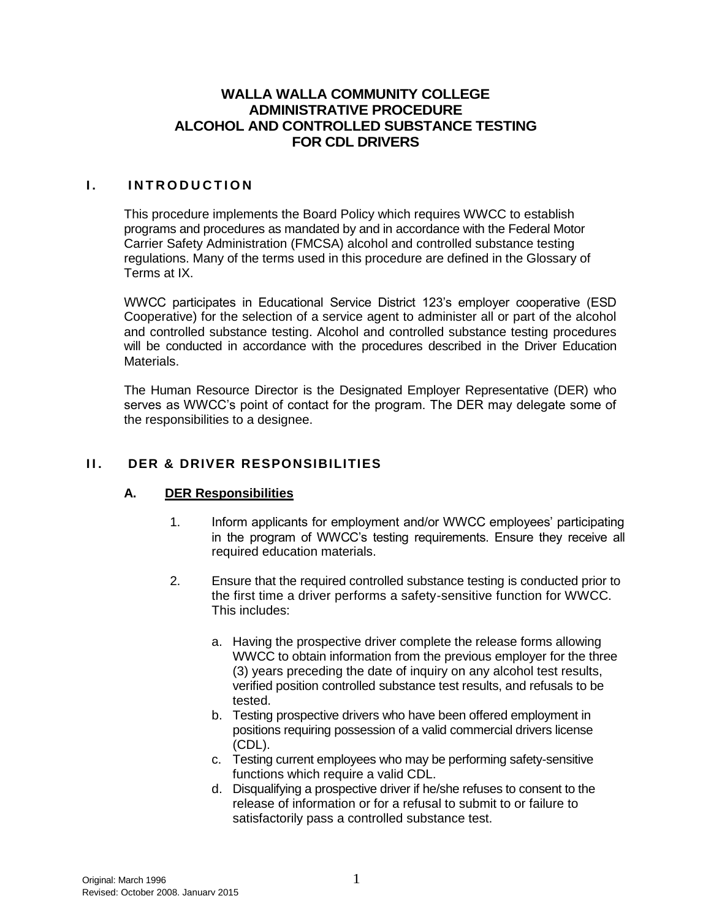## **WALLA WALLA COMMUNITY COLLEGE ADMINISTRATIVE PROCEDURE ALCOHOL AND CONTROLLED SUBSTANCE TESTING FOR CDL DRIVERS**

### **I. INTRODUCTION**

This procedure implements the Board Policy which requires WWCC to establish programs and procedures as mandated by and in accordance with the Federal Motor Carrier Safety Administration (FMCSA) alcohol and controlled substance testing regulations. Many of the terms used in this procedure are defined in the Glossary of Terms at IX.

WWCC participates in Educational Service District 123's employer cooperative (ESD Cooperative) for the selection of a service agent to administer all or part of the alcohol and controlled substance testing. Alcohol and controlled substance testing procedures will be conducted in accordance with the procedures described in the Driver Education Materials.

The Human Resource Director is the Designated Employer Representative (DER) who serves as WWCC's point of contact for the program. The DER may delegate some of the responsibilities to a designee.

## **II. DER & DRIVER RESPONSIBILITIES**

#### **A. DER Responsibilities**

- 1. Inform applicants for employment and/or WWCC employees' participating in the program of WWCC's testing requirements. Ensure they receive all required education materials.
- 2. Ensure that the required controlled substance testing is conducted prior to the first time a driver performs a safety-sensitive function for WWCC. This includes:
	- a. Having the prospective driver complete the release forms allowing WWCC to obtain information from the previous employer for the three (3) years preceding the date of inquiry on any alcohol test results, verified position controlled substance test results, and refusals to be tested.
	- b. Testing prospective drivers who have been offered employment in positions requiring possession of a valid commercial drivers license (CDL).
	- c. Testing current employees who may be performing safety-sensitive functions which require a valid CDL.
	- d. Disqualifying a prospective driver if he/she refuses to consent to the release of information or for a refusal to submit to or failure to satisfactorily pass a controlled substance test.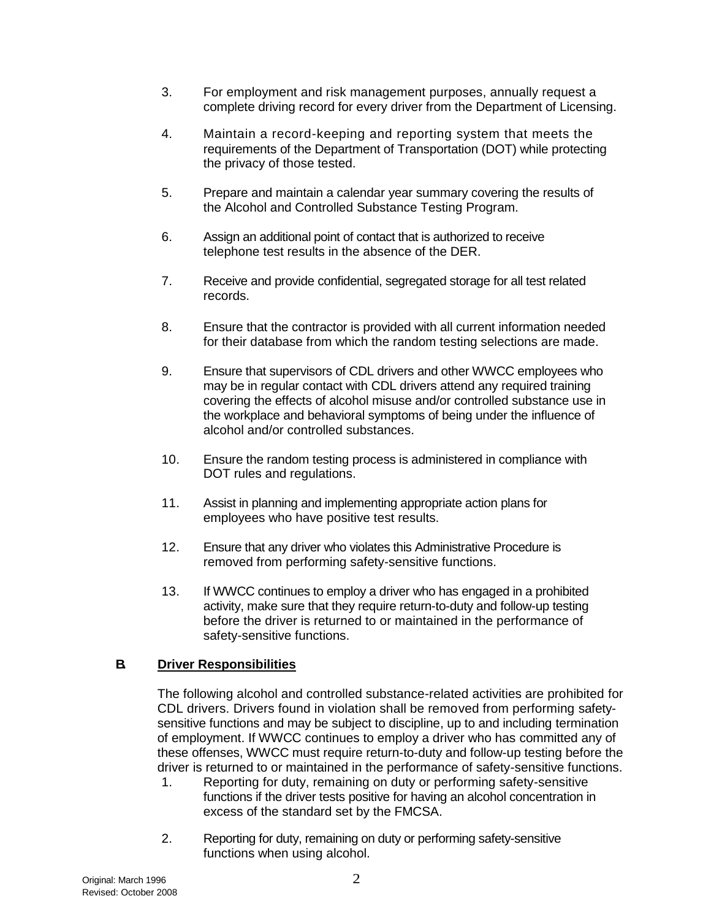- 3. For employment and risk management purposes, annually request a complete driving record for every driver from the Department of Licensing.
- 4. Maintain a record-keeping and reporting system that meets the requirements of the Department of Transportation (DOT) while protecting the privacy of those tested.
- 5. Prepare and maintain a calendar year summary covering the results of the Alcohol and Controlled Substance Testing Program.
- 6. Assign an additional point of contact that is authorized to receive telephone test results in the absence of the DER.
- 7. Receive and provide confidential, segregated storage for all test related records.
- 8. Ensure that the contractor is provided with all current information needed for their database from which the random testing selections are made.
- 9. Ensure that supervisors of CDL drivers and other WWCC employees who may be in regular contact with CDL drivers attend any required training covering the effects of alcohol misuse and/or controlled substance use in the workplace and behavioral symptoms of being under the influence of alcohol and/or controlled substances.
- 10. Ensure the random testing process is administered in compliance with DOT rules and regulations.
- 11. Assist in planning and implementing appropriate action plans for employees who have positive test results.
- 12. Ensure that any driver who violates this Administrative Procedure is removed from performing safety-sensitive functions.
- 13. If WWCC continues to employ a driver who has engaged in a prohibited activity, make sure that they require return-to-duty and follow-up testing before the driver is returned to or maintained in the performance of safety-sensitive functions.

## **B. Driver Responsibilities**

The following alcohol and controlled substance-related activities are prohibited for CDL drivers. Drivers found in violation shall be removed from performing safetysensitive functions and may be subject to discipline, up to and including termination of employment. If WWCC continues to employ a driver who has committed any of these offenses, WWCC must require return-to-duty and follow-up testing before the driver is returned to or maintained in the performance of safety-sensitive functions.

- 1. Reporting for duty, remaining on duty or performing safety-sensitive functions if the driver tests positive for having an alcohol concentration in excess of the standard set by the FMCSA.
- 2. Reporting for duty, remaining on duty or performing safety-sensitive functions when using alcohol.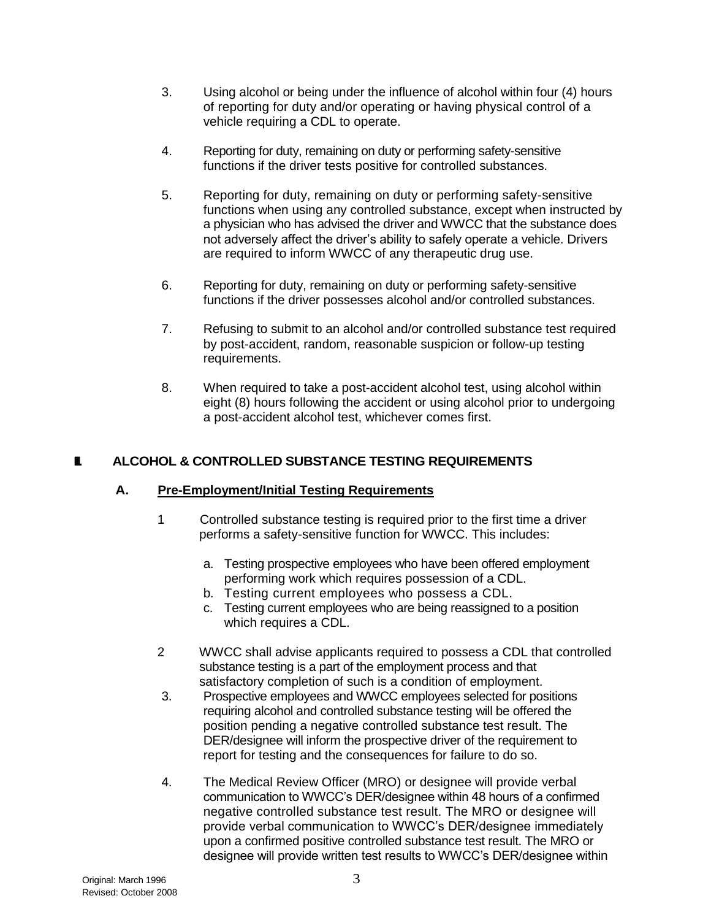- 3. Using alcohol or being under the influence of alcohol within four (4) hours of reporting for duty and/or operating or having physical control of a vehicle requiring a CDL to operate.
- 4. Reporting for duty, remaining on duty or performing safety-sensitive functions if the driver tests positive for controlled substances.
- 5. Reporting for duty, remaining on duty or performing safety-sensitive functions when using any controlled substance, except when instructed by a physician who has advised the driver and WWCC that the substance does not adversely affect the driver's ability to safely operate a vehicle. Drivers are required to inform WWCC of any therapeutic drug use.
- 6. Reporting for duty, remaining on duty or performing safety-sensitive functions if the driver possesses alcohol and/or controlled substances.
- 7. Refusing to submit to an alcohol and/or controlled substance test required by post-accident, random, reasonable suspicion or follow-up testing requirements.
- 8. When required to take a post-accident alcohol test, using alcohol within eight (8) hours following the accident or using alcohol prior to undergoing a post-accident alcohol test, whichever comes first.

## **III. ALCOHOL & CONTROLLED SUBSTANCE TESTING REQUIREMENTS**

#### **A. Pre-Employment/Initial Testing Requirements**

- 1. Controlled substance testing is required prior to the first time a driver performs a safety-sensitive function for WWCC. This includes:
	- a. Testing prospective employees who have been offered employment performing work which requires possession of a CDL.
	- b. Testing current employees who possess a CDL.
	- c. Testing current employees who are being reassigned to a position which requires a CDL.
- 2. WWCC shall advise applicants required to possess a CDL that controlled substance testing is a part of the employment process and that satisfactory completion of such is a condition of employment.
- 3. Prospective employees and WWCC employees selected for positions requiring alcohol and controlled substance testing will be offered the position pending a negative controlled substance test result. The DER/designee will inform the prospective driver of the requirement to report for testing and the consequences for failure to do so.
- 4. The Medical Review Officer (MRO) or designee will provide verbal communication to WWCC's DER/designee within 48 hours of a confirmed negative controlled substance test result. The MRO or designee will provide verbal communication to WWCC's DER/designee immediately upon a confirmed positive controlled substance test result. The MRO or designee will provide written test results to WWCC's DER/designee within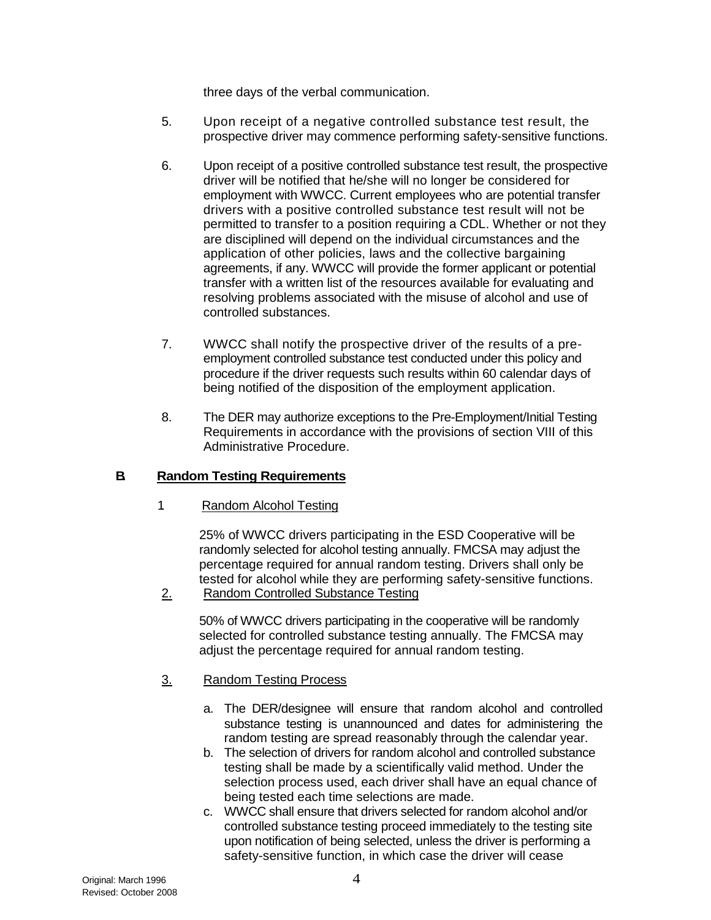three days of the verbal communication.

- 5. Upon receipt of a negative controlled substance test result, the prospective driver may commence performing safety-sensitive functions.
- 6. Upon receipt of a positive controlled substance test result, the prospective driver will be notified that he/she will no longer be considered for employment with WWCC. Current employees who are potential transfer drivers with a positive controlled substance test result will not be permitted to transfer to a position requiring a CDL. Whether or not they are disciplined will depend on the individual circumstances and the application of other policies, laws and the collective bargaining agreements, if any. WWCC will provide the former applicant or potential transfer with a written list of the resources available for evaluating and resolving problems associated with the misuse of alcohol and use of controlled substances.
- 7. WWCC shall notify the prospective driver of the results of a preemployment controlled substance test conducted under this policy and procedure if the driver requests such results within 60 calendar days of being notified of the disposition of the employment application.
- 8. The DER may authorize exceptions to the Pre-Employment/Initial Testing Requirements in accordance with the provisions of section VIII of this Administrative Procedure.

## **B. Random Testing Requirements**

1. Random Alcohol Testing

25% of WWCC drivers participating in the ESD Cooperative will be randomly selected for alcohol testing annually. FMCSA may adjust the percentage required for annual random testing. Drivers shall only be tested for alcohol while they are performing safety-sensitive functions.

2. Random Controlled Substance Testing

50% of WWCC drivers participating in the cooperative will be randomly selected for controlled substance testing annually. The FMCSA may adjust the percentage required for annual random testing.

## 3. Random Testing Process

- a. The DER/designee will ensure that random alcohol and controlled substance testing is unannounced and dates for administering the random testing are spread reasonably through the calendar year.
- b. The selection of drivers for random alcohol and controlled substance testing shall be made by a scientifically valid method. Under the selection process used, each driver shall have an equal chance of being tested each time selections are made.
- c. WWCC shall ensure that drivers selected for random alcohol and/or controlled substance testing proceed immediately to the testing site upon notification of being selected, unless the driver is performing a safety-sensitive function, in which case the driver will cease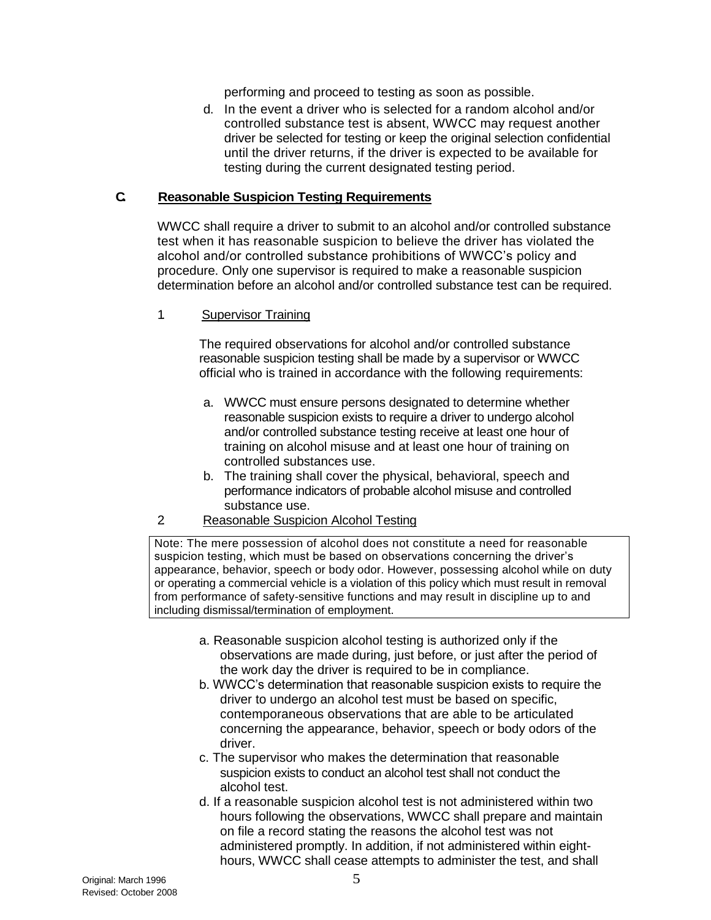performing and proceed to testing as soon as possible.

d. In the event a driver who is selected for a random alcohol and/or controlled substance test is absent, WWCC may request another driver be selected for testing or keep the original selection confidential until the driver returns, if the driver is expected to be available for testing during the current designated testing period.

#### **C. Reasonable Suspicion Testing Requirements**

WWCC shall require a driver to submit to an alcohol and/or controlled substance test when it has reasonable suspicion to believe the driver has violated the alcohol and/or controlled substance prohibitions of WWCC's policy and procedure. Only one supervisor is required to make a reasonable suspicion determination before an alcohol and/or controlled substance test can be required.

#### 1. Supervisor Training

The required observations for alcohol and/or controlled substance reasonable suspicion testing shall be made by a supervisor or WWCC official who is trained in accordance with the following requirements:

- a. WWCC must ensure persons designated to determine whether reasonable suspicion exists to require a driver to undergo alcohol and/or controlled substance testing receive at least one hour of training on alcohol misuse and at least one hour of training on controlled substances use.
- b. The training shall cover the physical, behavioral, speech and performance indicators of probable alcohol misuse and controlled substance use.
- 2. Reasonable Suspicion Alcohol Testing

Note: The mere possession of alcohol does not constitute a need for reasonable suspicion testing, which must be based on observations concerning the driver's appearance, behavior, speech or body odor. However, possessing alcohol while on duty or operating a commercial vehicle is a violation of this policy which must result in removal from performance of safety-sensitive functions and may result in discipline up to and including dismissal/termination of employment.

- a. Reasonable suspicion alcohol testing is authorized only if the observations are made during, just before, or just after the period of the work day the driver is required to be in compliance.
- b. WWCC's determination that reasonable suspicion exists to require the driver to undergo an alcohol test must be based on specific, contemporaneous observations that are able to be articulated concerning the appearance, behavior, speech or body odors of the driver.
- c. The supervisor who makes the determination that reasonable suspicion exists to conduct an alcohol test shall not conduct the alcohol test.
- d. If a reasonable suspicion alcohol test is not administered within two hours following the observations, WWCC shall prepare and maintain on file a record stating the reasons the alcohol test was not administered promptly. In addition, if not administered within eighthours, WWCC shall cease attempts to administer the test, and shall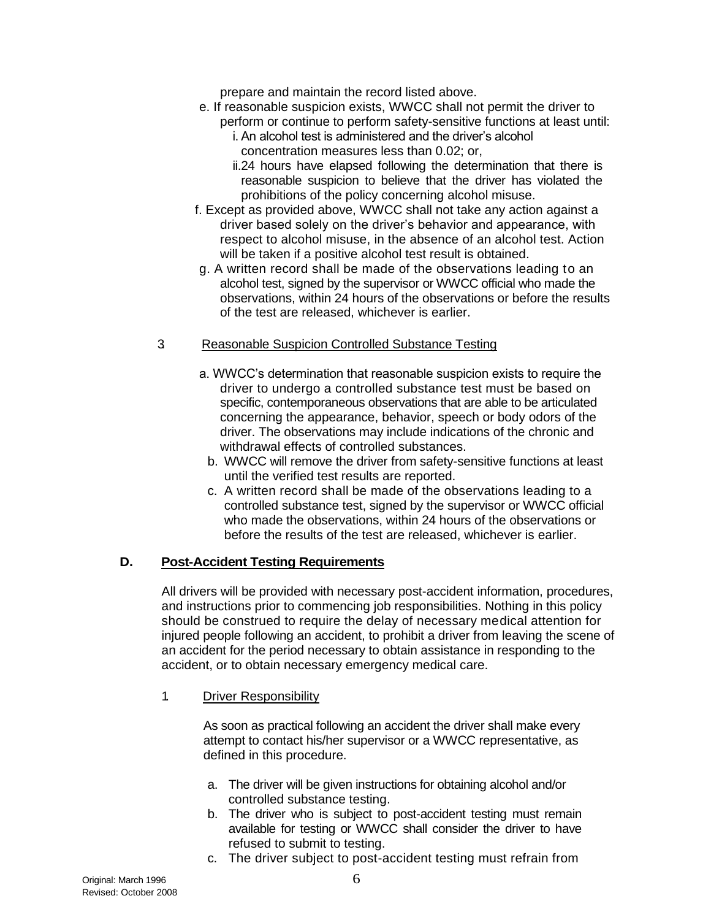prepare and maintain the record listed above.

- e. If reasonable suspicion exists, WWCC shall not permit the driver to perform or continue to perform safety-sensitive functions at least until:
	- i. An alcohol test is administered and the driver's alcohol concentration measures less than 0.02; or,

ii.24 hours have elapsed following the determination that there is reasonable suspicion to believe that the driver has violated the prohibitions of the policy concerning alcohol misuse.

- f. Except as provided above, WWCC shall not take any action against a driver based solely on the driver's behavior and appearance, with respect to alcohol misuse, in the absence of an alcohol test. Action will be taken if a positive alcohol test result is obtained.
- g. A written record shall be made of the observations leading to an alcohol test, signed by the supervisor or WWCC official who made the observations, within 24 hours of the observations or before the results of the test are released, whichever is earlier.

### 3. Reasonable Suspicion Controlled Substance Testing

- a. WWCC's determination that reasonable suspicion exists to require the driver to undergo a controlled substance test must be based on specific, contemporaneous observations that are able to be articulated concerning the appearance, behavior, speech or body odors of the driver. The observations may include indications of the chronic and withdrawal effects of controlled substances.
	- b. WWCC will remove the driver from safety-sensitive functions at least until the verified test results are reported.
	- c. A written record shall be made of the observations leading to a controlled substance test, signed by the supervisor or WWCC official who made the observations, within 24 hours of the observations or before the results of the test are released, whichever is earlier.

## **D. Post-Accident Testing Requirements**

All drivers will be provided with necessary post-accident information, procedures, and instructions prior to commencing job responsibilities. Nothing in this policy should be construed to require the delay of necessary medical attention for injured people following an accident, to prohibit a driver from leaving the scene of an accident for the period necessary to obtain assistance in responding to the accident, or to obtain necessary emergency medical care.

#### 1. Driver Responsibility

As soon as practical following an accident the driver shall make every attempt to contact his/her supervisor or a WWCC representative, as defined in this procedure.

- a. The driver will be given instructions for obtaining alcohol and/or controlled substance testing.
- b. The driver who is subject to post-accident testing must remain available for testing or WWCC shall consider the driver to have refused to submit to testing.
- c. The driver subject to post-accident testing must refrain from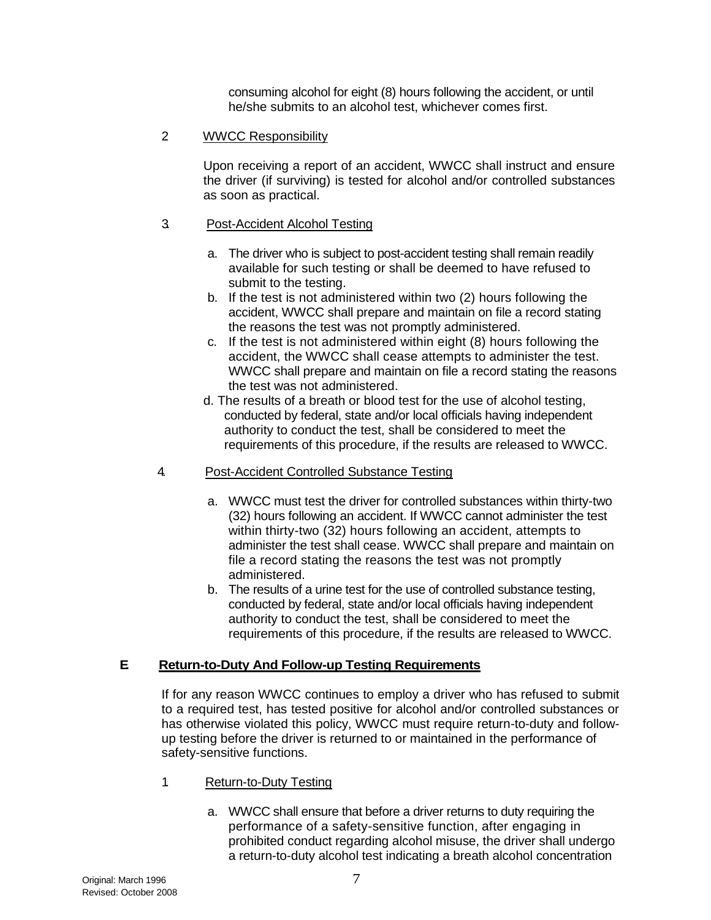consuming alcohol for eight (8) hours following the accident, or until he/she submits to an alcohol test, whichever comes first.

#### 2. WWCC Responsibility

Upon receiving a report of an accident, WWCC shall instruct and ensure the driver (if surviving) is tested for alcohol and/or controlled substances as soon as practical.

#### 3. Post-Accident Alcohol Testing

- a. The driver who is subject to post-accident testing shall remain readily available for such testing or shall be deemed to have refused to submit to the testing.
- b. If the test is not administered within two (2) hours following the accident, WWCC shall prepare and maintain on file a record stating the reasons the test was not promptly administered.
- c. If the test is not administered within eight (8) hours following the accident, the WWCC shall cease attempts to administer the test. WWCC shall prepare and maintain on file a record stating the reasons the test was not administered.
- d. The results of a breath or blood test for the use of alcohol testing, conducted by federal, state and/or local officials having independent authority to conduct the test, shall be considered to meet the requirements of this procedure, if the results are released to WWCC.

#### 4. Post-Accident Controlled Substance Testing

- a. WWCC must test the driver for controlled substances within thirty-two (32) hours following an accident. If WWCC cannot administer the test within thirty-two (32) hours following an accident, attempts to administer the test shall cease. WWCC shall prepare and maintain on file a record stating the reasons the test was not promptly administered.
- b. The results of a urine test for the use of controlled substance testing, conducted by federal, state and/or local officials having independent authority to conduct the test, shall be considered to meet the requirements of this procedure, if the results are released to WWCC.

## **E. Return-to-Duty And Follow-up Testing Requirements**

If for any reason WWCC continues to employ a driver who has refused to submit to a required test, has tested positive for alcohol and/or controlled substances or has otherwise violated this policy, WWCC must require return-to-duty and followup testing before the driver is returned to or maintained in the performance of safety-sensitive functions.

## 1. Return-to-Duty Testing

a. WWCC shall ensure that before a driver returns to duty requiring the performance of a safety-sensitive function, after engaging in prohibited conduct regarding alcohol misuse, the driver shall undergo a return-to-duty alcohol test indicating a breath alcohol concentration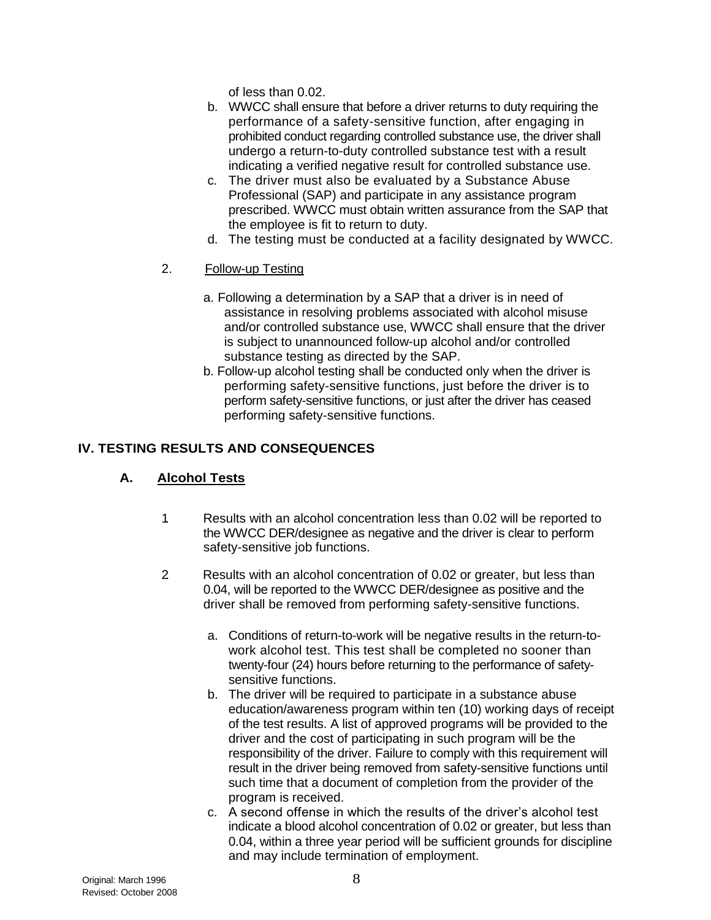of less than 0.02.

- b. WWCC shall ensure that before a driver returns to duty requiring the performance of a safety-sensitive function, after engaging in prohibited conduct regarding controlled substance use, the driver shall undergo a return-to-duty controlled substance test with a result indicating a verified negative result for controlled substance use.
- c. The driver must also be evaluated by a Substance Abuse Professional (SAP) and participate in any assistance program prescribed. WWCC must obtain written assurance from the SAP that the employee is fit to return to duty.
- d. The testing must be conducted at a facility designated by WWCC.
- 2. Follow-up Testing
	- a. Following a determination by a SAP that a driver is in need of assistance in resolving problems associated with alcohol misuse and/or controlled substance use, WWCC shall ensure that the driver is subject to unannounced follow-up alcohol and/or controlled substance testing as directed by the SAP.
	- b. Follow-up alcohol testing shall be conducted only when the driver is performing safety-sensitive functions, just before the driver is to perform safety-sensitive functions, or just after the driver has ceased performing safety-sensitive functions.

## **IV. TESTING RESULTS AND CONSEQUENCES**

## **A. Alcohol Tests**

- 1. Results with an alcohol concentration less than 0.02 will be reported to the WWCC DER/designee as negative and the driver is clear to perform safety-sensitive job functions.
- 2. Results with an alcohol concentration of 0.02 or greater, but less than 0.04, will be reported to the WWCC DER/designee as positive and the driver shall be removed from performing safety-sensitive functions.
	- a. Conditions of return-to-work will be negative results in the return-towork alcohol test. This test shall be completed no sooner than twenty-four (24) hours before returning to the performance of safetysensitive functions.
	- b. The driver will be required to participate in a substance abuse education/awareness program within ten (10) working days of receipt of the test results. A list of approved programs will be provided to the driver and the cost of participating in such program will be the responsibility of the driver. Failure to comply with this requirement will result in the driver being removed from safety-sensitive functions until such time that a document of completion from the provider of the program is received.
	- c. A second offense in which the results of the driver's alcohol test indicate a blood alcohol concentration of 0.02 or greater, but less than 0.04, within a three year period will be sufficient grounds for discipline and may include termination of employment.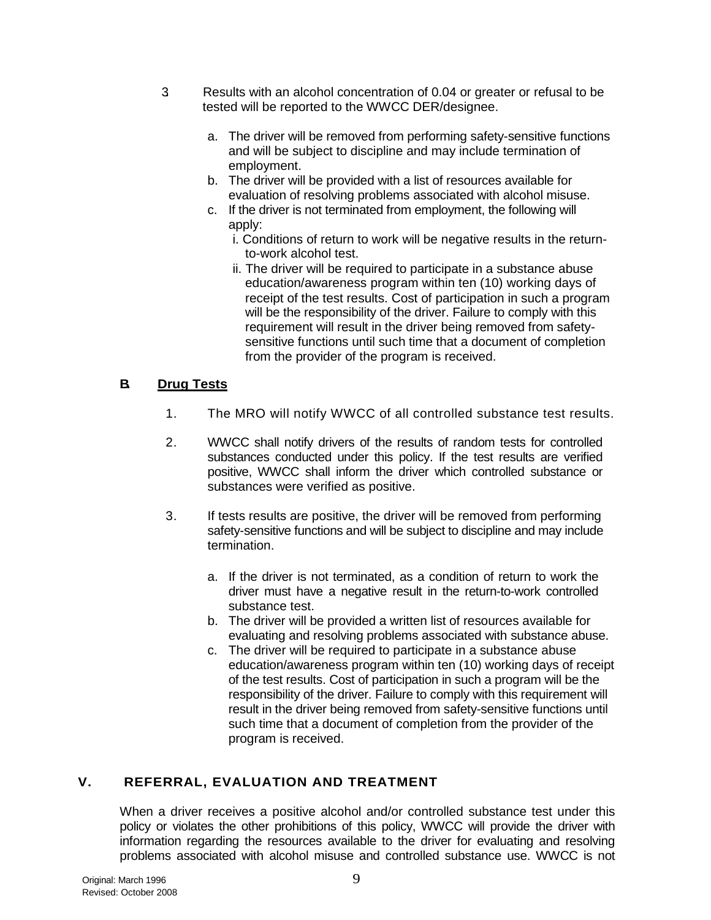- 3. Results with an alcohol concentration of 0.04 or greater or refusal to be tested will be reported to the WWCC DER/designee.
	- a. The driver will be removed from performing safety-sensitive functions and will be subject to discipline and may include termination of employment.
	- b. The driver will be provided with a list of resources available for evaluation of resolving problems associated with alcohol misuse.
	- c. If the driver is not terminated from employment, the following will apply:
		- i. Conditions of return to work will be negative results in the returnto-work alcohol test.
		- ii. The driver will be required to participate in a substance abuse education/awareness program within ten (10) working days of receipt of the test results. Cost of participation in such a program will be the responsibility of the driver. Failure to comply with this requirement will result in the driver being removed from safetysensitive functions until such time that a document of completion from the provider of the program is received.

### **B. Drug Tests**

- 1. The MRO will notify WWCC of all controlled substance test results.
- 2. WWCC shall notify drivers of the results of random tests for controlled substances conducted under this policy. If the test results are verified positive, WWCC shall inform the driver which controlled substance or substances were verified as positive.
- 3. If tests results are positive, the driver will be removed from performing safety-sensitive functions and will be subject to discipline and may include termination.
	- a. If the driver is not terminated, as a condition of return to work the driver must have a negative result in the return-to-work controlled substance test.
	- b. The driver will be provided a written list of resources available for evaluating and resolving problems associated with substance abuse.
	- c. The driver will be required to participate in a substance abuse education/awareness program within ten (10) working days of receipt of the test results. Cost of participation in such a program will be the responsibility of the driver. Failure to comply with this requirement will result in the driver being removed from safety-sensitive functions until such time that a document of completion from the provider of the program is received.

## **V. REFERRAL, EVALUATION AND TREATMENT**

When a driver receives a positive alcohol and/or controlled substance test under this policy or violates the other prohibitions of this policy, WWCC will provide the driver with information regarding the resources available to the driver for evaluating and resolving problems associated with alcohol misuse and controlled substance use. WWCC is not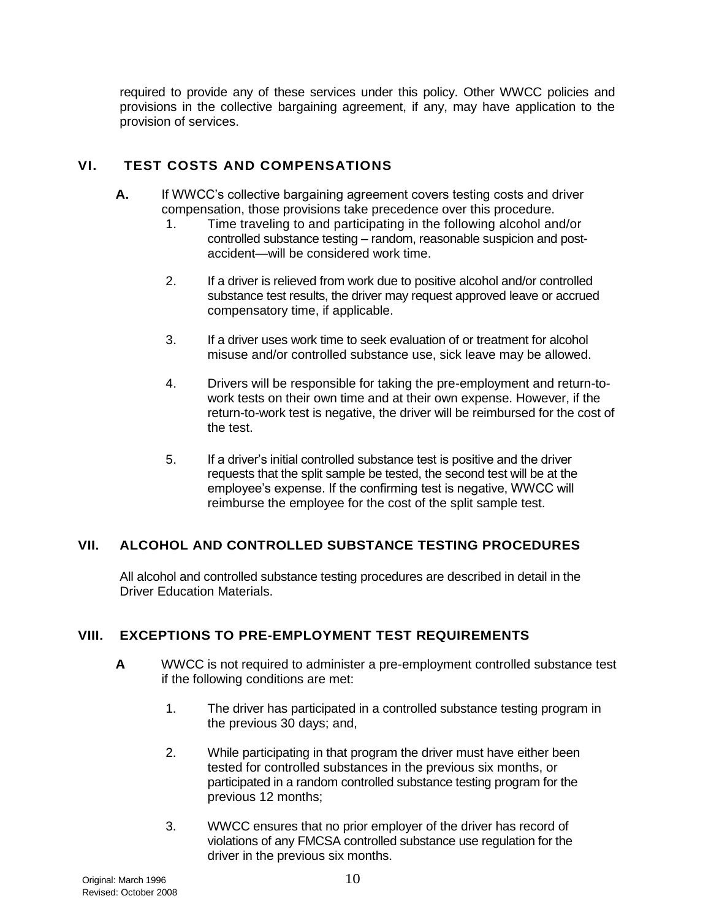required to provide any of these services under this policy. Other WWCC policies and provisions in the collective bargaining agreement, if any, may have application to the provision of services.

# **VI. TEST COSTS AND COMPENSATIONS**

- **A.** If WWCC's collective bargaining agreement covers testing costs and driver compensation, those provisions take precedence over this procedure.
	- 1. Time traveling to and participating in the following alcohol and/or controlled substance testing – random, reasonable suspicion and postaccident—will be considered work time.
	- 2. If a driver is relieved from work due to positive alcohol and/or controlled substance test results, the driver may request approved leave or accrued compensatory time, if applicable.
	- 3. If a driver uses work time to seek evaluation of or treatment for alcohol misuse and/or controlled substance use, sick leave may be allowed.
	- 4. Drivers will be responsible for taking the pre-employment and return-towork tests on their own time and at their own expense. However, if the return-to-work test is negative, the driver will be reimbursed for the cost of the test.
	- 5. If a driver's initial controlled substance test is positive and the driver requests that the split sample be tested, the second test will be at the employee's expense. If the confirming test is negative, WWCC will reimburse the employee for the cost of the split sample test.

## **VII. ALCOHOL AND CONTROLLED SUBSTANCE TESTING PROCEDURES**

All alcohol and controlled substance testing procedures are described in detail in the Driver Education Materials.

## **VIII. EXCEPTIONS TO PRE-EMPLOYMENT TEST REQUIREMENTS**

- **A.** WWCC is not required to administer a pre-employment controlled substance test if the following conditions are met:
	- 1. The driver has participated in a controlled substance testing program in the previous 30 days; and,
	- 2. While participating in that program the driver must have either been tested for controlled substances in the previous six months, or participated in a random controlled substance testing program for the previous 12 months;
	- 3. WWCC ensures that no prior employer of the driver has record of violations of any FMCSA controlled substance use regulation for the driver in the previous six months.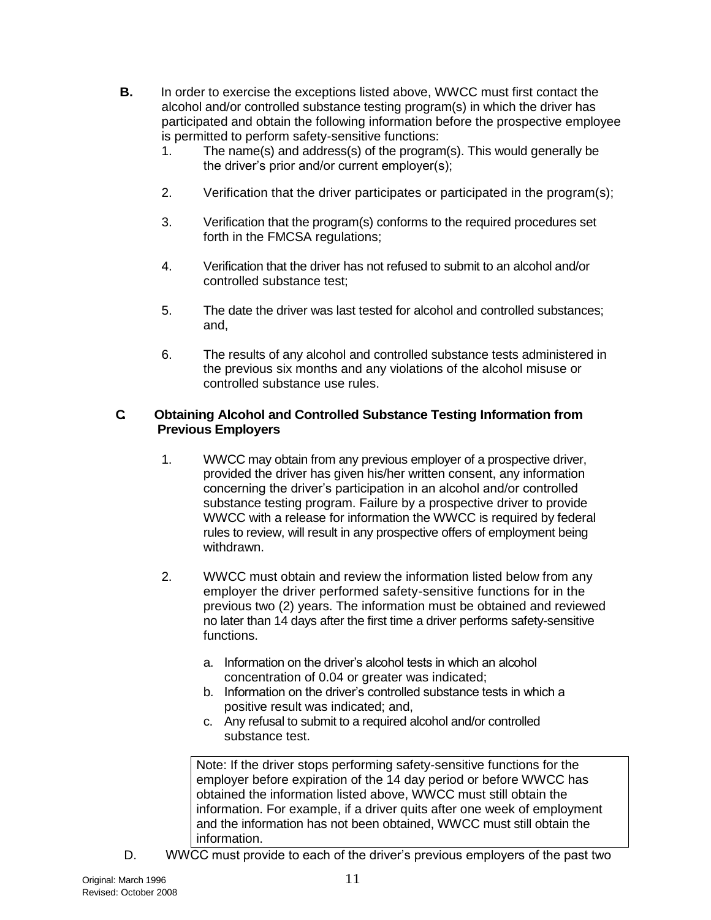- **B.** In order to exercise the exceptions listed above, WWCC must first contact the alcohol and/or controlled substance testing program(s) in which the driver has participated and obtain the following information before the prospective employee is permitted to perform safety-sensitive functions:
	- 1. The name(s) and address(s) of the program(s). This would generally be the driver's prior and/or current employer(s);
	- 2. Verification that the driver participates or participated in the program(s);
	- 3. Verification that the program(s) conforms to the required procedures set forth in the FMCSA regulations;
	- 4. Verification that the driver has not refused to submit to an alcohol and/or controlled substance test;
	- 5. The date the driver was last tested for alcohol and controlled substances; and,
	- 6. The results of any alcohol and controlled substance tests administered in the previous six months and any violations of the alcohol misuse or controlled substance use rules.

#### **C. Obtaining Alcohol and Controlled Substance Testing Information from Previous Employers**

- 1. WWCC may obtain from any previous employer of a prospective driver, provided the driver has given his/her written consent, any information concerning the driver's participation in an alcohol and/or controlled substance testing program. Failure by a prospective driver to provide WWCC with a release for information the WWCC is required by federal rules to review, will result in any prospective offers of employment being withdrawn.
- 2. WWCC must obtain and review the information listed below from any employer the driver performed safety-sensitive functions for in the previous two (2) years. The information must be obtained and reviewed no later than 14 days after the first time a driver performs safety-sensitive functions.
	- a. Information on the driver's alcohol tests in which an alcohol concentration of 0.04 or greater was indicated;
	- b. Information on the driver's controlled substance tests in which a positive result was indicated; and,
	- c. Any refusal to submit to a required alcohol and/or controlled substance test.

Note: If the driver stops performing safety-sensitive functions for the employer before expiration of the 14 day period or before WWCC has obtained the information listed above, WWCC must still obtain the information. For example, if a driver quits after one week of employment and the information has not been obtained, WWCC must still obtain the information.

D. WWCC must provide to each of the driver's previous employers of the past two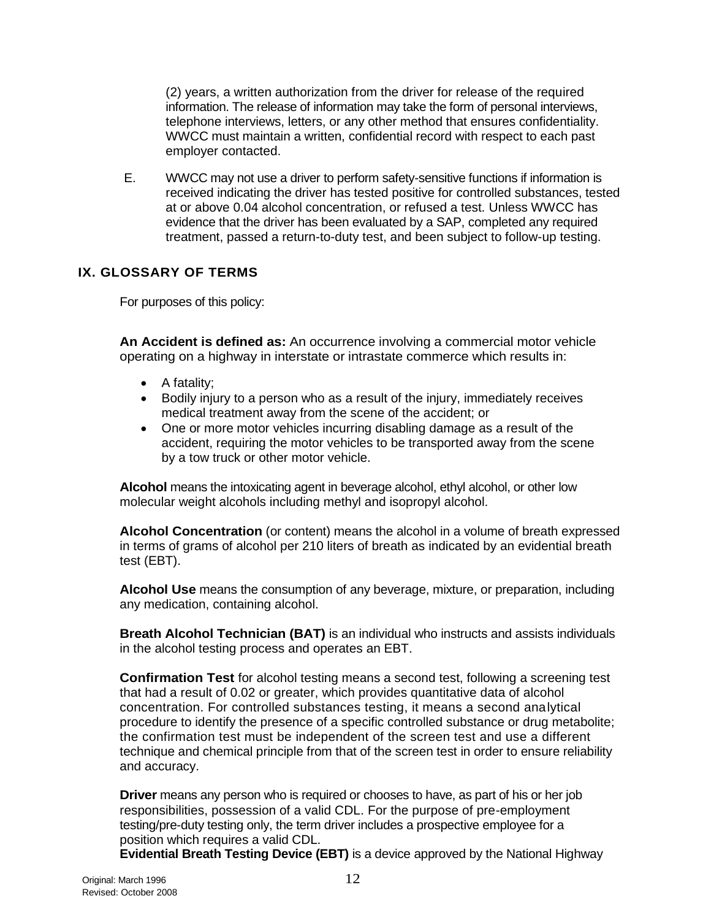(2) years, a written authorization from the driver for release of the required information. The release of information may take the form of personal interviews, telephone interviews, letters, or any other method that ensures confidentiality. WWCC must maintain a written, confidential record with respect to each past employer contacted.

E. WWCC may not use a driver to perform safety-sensitive functions if information is received indicating the driver has tested positive for controlled substances, tested at or above 0.04 alcohol concentration, or refused a test. Unless WWCC has evidence that the driver has been evaluated by a SAP, completed any required treatment, passed a return-to-duty test, and been subject to follow-up testing.

# **IX. GLOSSARY OF TERMS**

For purposes of this policy:

**An Accident is defined as:** An occurrence involving a commercial motor vehicle operating on a highway in interstate or intrastate commerce which results in:

- $\bullet$  A fatality;
- Bodily injury to a person who as a result of the injury, immediately receives medical treatment away from the scene of the accident; or
- One or more motor vehicles incurring disabling damage as a result of the accident, requiring the motor vehicles to be transported away from the scene by a tow truck or other motor vehicle.

**Alcohol** means the intoxicating agent in beverage alcohol, ethyl alcohol, or other low molecular weight alcohols including methyl and isopropyl alcohol.

**Alcohol Concentration** (or content) means the alcohol in a volume of breath expressed in terms of grams of alcohol per 210 liters of breath as indicated by an evidential breath test (EBT).

**Alcohol Use** means the consumption of any beverage, mixture, or preparation, including any medication, containing alcohol.

**Breath Alcohol Technician (BAT)** is an individual who instructs and assists individuals in the alcohol testing process and operates an EBT.

**Confirmation Test** for alcohol testing means a second test, following a screening test that had a result of 0.02 or greater, which provides quantitative data of alcohol concentration. For controlled substances testing, it means a second analytical procedure to identify the presence of a specific controlled substance or drug metabolite; the confirmation test must be independent of the screen test and use a different technique and chemical principle from that of the screen test in order to ensure reliability and accuracy.

**Driver** means any person who is required or chooses to have, as part of his or her job responsibilities, possession of a valid CDL. For the purpose of pre-employment testing/pre-duty testing only, the term driver includes a prospective employee for a position which requires a valid CDL.

**Evidential Breath Testing Device (EBT)** is a device approved by the National Highway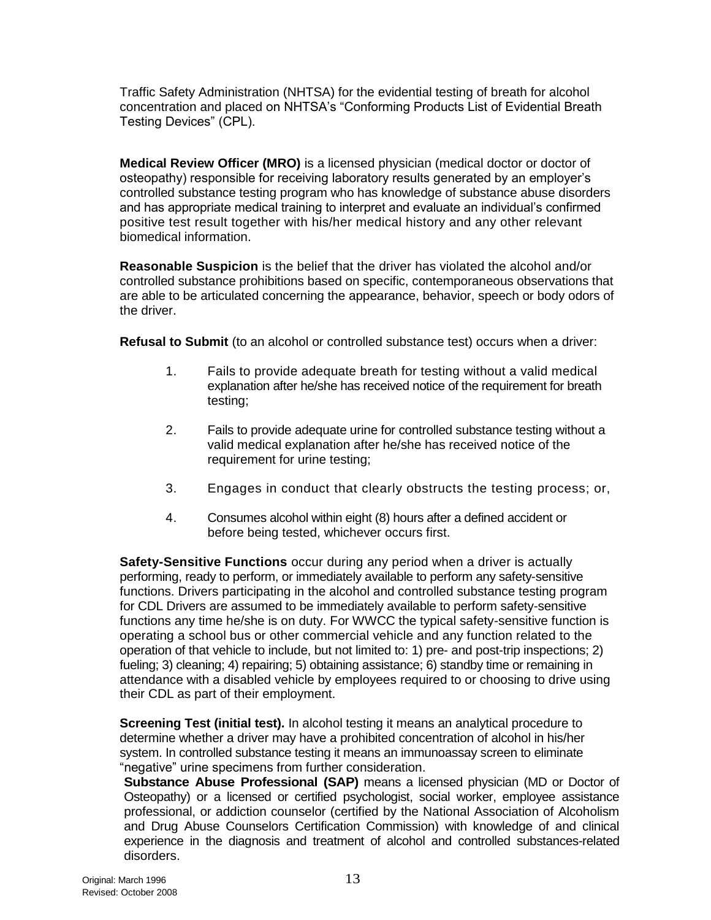Traffic Safety Administration (NHTSA) for the evidential testing of breath for alcohol concentration and placed on NHTSA's "Conforming Products List of Evidential Breath Testing Devices" (CPL).

**Medical Review Officer (MRO)** is a licensed physician (medical doctor or doctor of osteopathy) responsible for receiving laboratory results generated by an employer's controlled substance testing program who has knowledge of substance abuse disorders and has appropriate medical training to interpret and evaluate an individual's confirmed positive test result together with his/her medical history and any other relevant biomedical information.

**Reasonable Suspicion** is the belief that the driver has violated the alcohol and/or controlled substance prohibitions based on specific, contemporaneous observations that are able to be articulated concerning the appearance, behavior, speech or body odors of the driver.

**Refusal to Submit** (to an alcohol or controlled substance test) occurs when a driver:

- 1. Fails to provide adequate breath for testing without a valid medical explanation after he/she has received notice of the requirement for breath testing;
- 2. Fails to provide adequate urine for controlled substance testing without a valid medical explanation after he/she has received notice of the requirement for urine testing;
- 3. Engages in conduct that clearly obstructs the testing process; or,
- 4. Consumes alcohol within eight (8) hours after a defined accident or before being tested, whichever occurs first.

**Safety-Sensitive Functions** occur during any period when a driver is actually performing, ready to perform, or immediately available to perform any safety-sensitive functions. Drivers participating in the alcohol and controlled substance testing program for CDL Drivers are assumed to be immediately available to perform safety-sensitive functions any time he/she is on duty. For WWCC the typical safety-sensitive function is operating a school bus or other commercial vehicle and any function related to the operation of that vehicle to include, but not limited to: 1) pre- and post-trip inspections; 2) fueling; 3) cleaning; 4) repairing; 5) obtaining assistance; 6) standby time or remaining in attendance with a disabled vehicle by employees required to or choosing to drive using their CDL as part of their employment.

**Screening Test (initial test).** In alcohol testing it means an analytical procedure to determine whether a driver may have a prohibited concentration of alcohol in his/her system. In controlled substance testing it means an immunoassay screen to eliminate "negative" urine specimens from further consideration.

**Substance Abuse Professional (SAP)** means a licensed physician (MD or Doctor of Osteopathy) or a licensed or certified psychologist, social worker, employee assistance professional, or addiction counselor (certified by the National Association of Alcoholism and Drug Abuse Counselors Certification Commission) with knowledge of and clinical experience in the diagnosis and treatment of alcohol and controlled substances-related disorders.